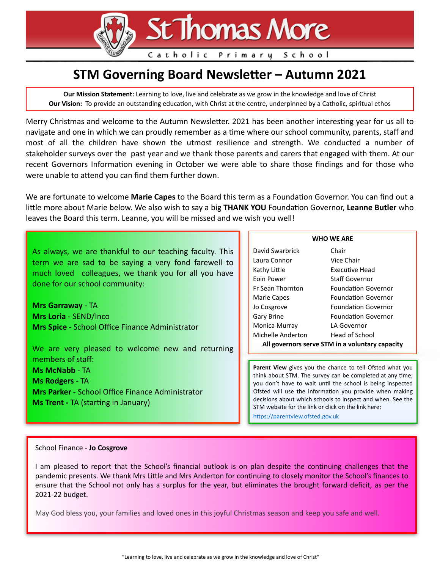**St Thomas More** 

Catholic Primary School

# **STM Governing Board Newsletter - Autumn 2021**

**Our Mission Statement:** Learning to love, live and celebrate as we grow in the knowledge and love of Christ **Our Vision:** To provide an outstanding education, with Christ at the centre, underpinned by a Catholic, spiritual ethos

Merry Christmas and welcome to the Autumn Newsletter. 2021 has been another interesting year for us all to navigate and one in which we can proudly remember as a time where our school community, parents, staff and most of all the children have shown the utmost resilience and strength. We conducted a number of stakeholder surveys over the past year and we thank those parents and carers that engaged with them. At our recent Governors Information evening in October we were able to share those findings and for those who were unable to attend you can find them further down.

We are fortunate to welcome **Marie Capes** to the Board this term as a Foundation Governor. You can find out a little more about Marie below. We also wish to say a big **THANK YOU** Foundation Governor, Leanne Butler who leaves the Board this term. Leanne, you will be missed and we wish you well!

| As always, we are thankful to our teaching faculty. This |  |  |
|----------------------------------------------------------|--|--|
| term we are sad to be saying a very fond farewell to     |  |  |
| much loved colleagues, we thank you for all you have     |  |  |
| done for our school community:                           |  |  |

**Mrs Garraway** - TA **Mrs Loria** - SEND/Inco **Mrs Spice** - School Office Finance Administrator

We are very pleased to welcome new and returning members of staff: **Ms McNabb** - TA **Ms Rodgers** - TA **Mrs Parker** - School Office Finance Administrator **Ms Trent - TA (starting in January)** 

#### **WHO WE ARE**

| David Swarbrick                                 | Chair                      |  |
|-------------------------------------------------|----------------------------|--|
| Laura Connor                                    | Vice Chair                 |  |
| Kathy Little                                    | Executive Head             |  |
| Eoin Power                                      | <b>Staff Governor</b>      |  |
| <b>Fr Sean Thornton</b>                         | <b>Foundation Governor</b> |  |
| Marie Capes                                     | <b>Foundation Governor</b> |  |
| Jo Cosgrove                                     | <b>Foundation Governor</b> |  |
| Gary Brine                                      | <b>Foundation Governor</b> |  |
| Monica Murray                                   | LA Governor                |  |
| Michelle Anderton                               | Head of School             |  |
| All governors serve STM in a voluntary capacity |                            |  |

**Parent View** gives you the chance to tell Ofsted what you think about STM. The survey can be completed at any time; you don't have to wait until the school is being inspected Ofsted will use the information you provide when making decisions about which schools to inspect and when. See the STM website for the link or click on the link here:

https://parentview.ofsted.gov.uk

### School Finance - **Jo Cosgrove**

I am pleased to report that the School's financial outlook is on plan despite the continuing challenges that the pandemic presents. We thank Mrs Little and Mrs Anderton for continuing to closely monitor the School's finances to ensure that the School not only has a surplus for the year, but eliminates the brought forward deficit, as per the 2021-22 budget.

May God bless you, your families and loved ones in this joyful Christmas season and keep you safe and well.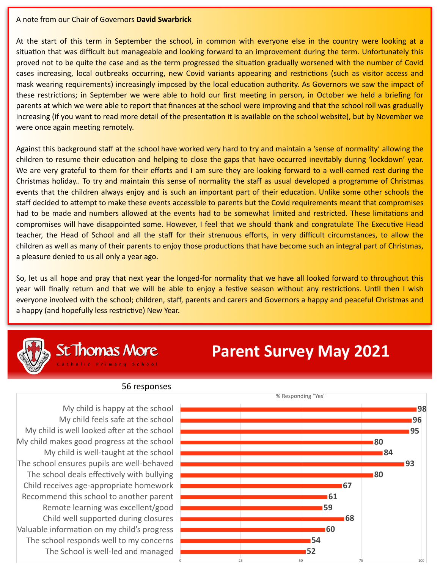### A note from our Chair of Governors **David Swarbrick**

At the start of this term in September the school, in common with everyone else in the country were looking at a situation that was difficult but manageable and looking forward to an improvement during the term. Unfortunately this proved not to be quite the case and as the term progressed the situation gradually worsened with the number of Covid cases increasing, local outbreaks occurring, new Covid variants appearing and restrictions (such as visitor access and mask wearing requirements) increasingly imposed by the local education authority. As Governors we saw the impact of these restrictions; in September we were able to hold our first meeting in person, in October we held a briefing for parents at which we were able to report that finances at the school were improving and that the school roll was gradually increasing (if you want to read more detail of the presentation it is available on the school website), but by November we were once again meeting remotely.

Against this background staff at the school have worked very hard to try and maintain a 'sense of normality' allowing the children to resume their education and helping to close the gaps that have occurred inevitably during 'lockdown' year. We are very grateful to them for their efforts and I am sure they are looking forward to a well-earned rest during the Christmas holiday.. To try and maintain this sense of normality the staff as usual developed a programme of Christmas events that the children always enjoy and is such an important part of their education. Unlike some other schools the staff decided to attempt to make these events accessible to parents but the Covid requirements meant that compromises had to be made and numbers allowed at the events had to be somewhat limited and restricted. These limitations and compromises will have disappointed some. However, I feel that we should thank and congratulate The Executive Head teacher, the Head of School and all the staff for their strenuous efforts, in very difficult circumstances, to allow the children as well as many of their parents to enjoy those productions that have become such an integral part of Christmas, a pleasure denied to us all only a year ago.

So, let us all hope and pray that next year the longed-for normality that we have all looked forward to throughout this year will finally return and that we will be able to enjoy a festive season without any restrictions. Until then I wish everyone involved with the school; children, staff, parents and carers and Governors a happy and peaceful Christmas and a happy (and hopefully less restrictive) New Year.



St Thomas More

# **Parent Survey May 2021**

## 56 responses

My child is happy at the school My child feels safe at the school My child is well looked after at the school My child makes good progress at the school My child is well-taught at the school The school ensures pupils are well-behaved The school deals effectively with bullying Child receives age-appropriate homework Recommend this school to another parent Remote learning was excellent/good Child well supported during closures Valuable information on my child's progress The school responds well to my concerns The School is well-led and managed

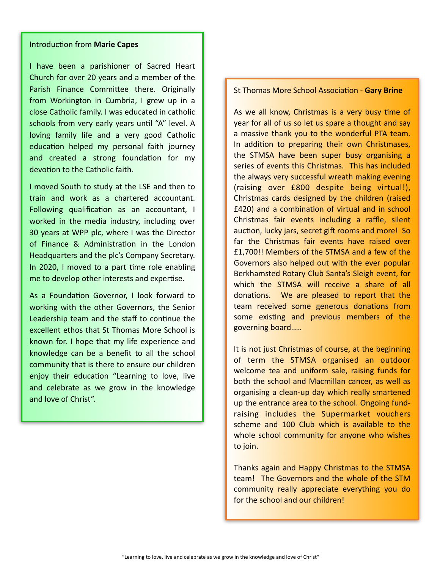## **Introduction from Marie Capes**

I have been a parishioner of Sacred Heart Church for over 20 years and a member of the Parish Finance Committee there. Originally from Workington in Cumbria, I grew up in a close Catholic family. I was educated in catholic schools from very early years until "A" level. A loving family life and a very good Catholic education helped my personal faith journey and created a strong foundation for my devotion to the Catholic faith.

I moved South to study at the LSE and then to train and work as a chartered accountant. Following qualification as an accountant, I worked in the media industry, including over 30 years at WPP plc, where I was the Director of Finance & Administration in the London Headquarters and the plc's Company Secretary. In 2020, I moved to a part time role enabling me to develop other interests and expertise.

As a Foundation Governor, I look forward to working with the other Governors, the Senior Leadership team and the staff to continue the excellent ethos that St Thomas More School is known for. I hope that my life experience and knowledge can be a benefit to all the school community that is there to ensure our children enjoy their education "Learning to love, live and celebrate as we grow in the knowledge and love of Christ".

### **St Thomas More School Association - Gary Brine**

As we all know, Christmas is a very busy time of year for all of us so let us spare a thought and say a massive thank you to the wonderful PTA team. In addition to preparing their own Christmases, the STMSA have been super busy organising a series of events this Christmas. This has included the always very successful wreath making evening (raising over £800 despite being virtual!), Christmas cards designed by the children (raised £420) and a combination of virtual and in school Christmas fair events including a raffle, silent auction, lucky jars, secret gift rooms and more! So far the Christmas fair events have raised over £1,700!! Members of the STMSA and a few of the Governors also helped out with the ever popular Berkhamsted Rotary Club Santa's Sleigh event, for which the STMSA will receive a share of all donations. We are pleased to report that the team received some generous donations from some existing and previous members of the governing board…..

It is not just Christmas of course, at the beginning of term the STMSA organised an outdoor welcome tea and uniform sale, raising funds for both the school and Macmillan cancer, as well as organising a clean-up day which really smartened up the entrance area to the school. Ongoing fundraising includes the Supermarket vouchers scheme and 100 Club which is available to the whole school community for anyone who wishes to join.

Thanks again and Happy Christmas to the STMSA team! The Governors and the whole of the STM community really appreciate everything you do for the school and our children!